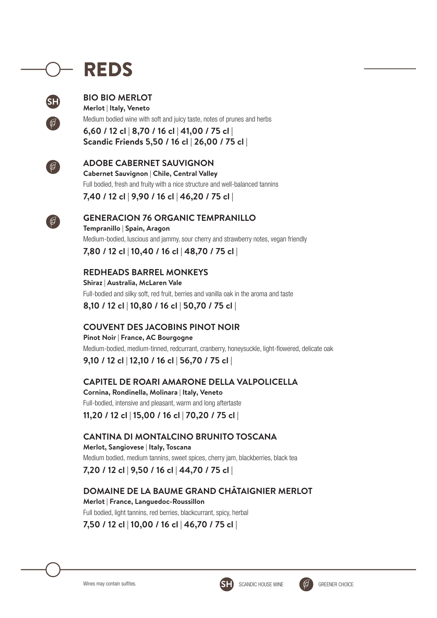## REDS



#### **BIO BIO MERLOT Merlot | Italy, Veneto**

Medium bodied wine with soft and juicy taste, notes of prunes and herbs

**6,60 / 12 cl | 8,70 / 16 cl | 41,00 / 75 cl | Scandic Friends 5,50 / 16 cl | 26,00 / 75 cl |** 



#### **ADOBE CABERNET SAUVIGNON**

**Cabernet Sauvignon | Chile, Central Valley**  Full bodied, fresh and fruity with a nice structure and well-balanced tannins

**7,40 / 12 cl | 9,90 / 16 cl | 46,20 / 75 cl |** 



### **GENERACION 76 ORGANIC TEMPRANILLO**

**Tempranillo | Spain, Aragon** Medium-bodied, luscious and jammy, sour cherry and strawberry notes, vegan friendly

**7,80 / 12 cl | 10,40 / 16 cl | 48,70 / 75 cl |** 

### **REDHEADS BARREL MONKEYS**

**Shiraz | Australia, McLaren Vale** Full-bodied and silky soft, red fruit, berries and vanilla oak in the aroma and taste **8,10 / 12 cl | 10,80 / 16 cl | 50,70 / 75 cl |** 

## **COUVENT DES JACOBINS PINOT NOIR**

**Pinot Noir | France, AC Bourgogne** Medium-bodied, medium-tinned, redcurrant, cranberry, honeysuckle, light-flowered, delicate oak

## **9,10 / 12 cl | 12,10 / 16 cl | 56,70 / 75 cl |**

#### **CAPITEL DE ROARI AMARONE DELLA VALPOLICELLA**

**Cornina, Rondinella, Molinara | Italy, Veneto** Full-bodied, intensive and pleasant, warm and long aftertaste

**11,20 / 12 cl | 15,00 / 16 cl | 70,20 / 75 cl |** 

## **CANTINA DI MONTALCINO BRUNITO TOSCANA**

**Merlot, Sangiovese | Italy, Toscana** Medium bodied, medium tannins, sweet spices, cherry jam, blackberries, black tea

**7,20 / 12 cl | 9,50 / 16 cl | 44,70 / 75 cl |** 

## **DOMAINE DE LA BAUME GRAND CHÂTAIGNIER MERLOT**

**Merlot | France, Languedoc-Roussillon**  Full bodied, light tannins, red berries, blackcurrant, spicy, herbal **7,50 / 12 cl | 10,00 / 16 cl | 46,70 / 75 cl |** 



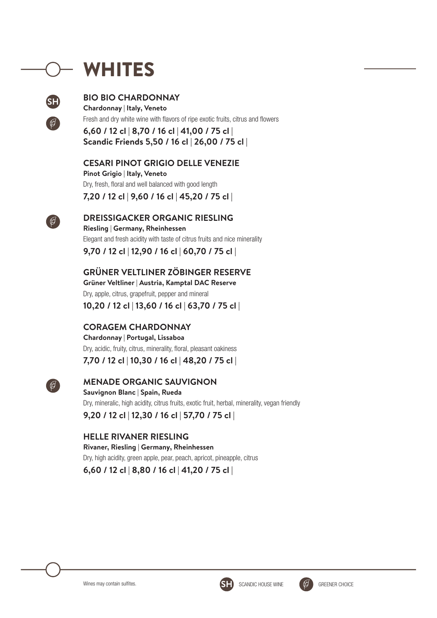## WHITES



#### **BIO BIO CHARDONNAY**

**Chardonnay | Italy, Veneto**  Fresh and dry white wine with flavors of ripe exotic fruits, citrus and flowers

**6,60 / 12 cl | 8,70 / 16 cl | 41,00 / 75 cl | Scandic Friends 5,50 / 16 cl | 26,00 / 75 cl |** 

**CESARI PINOT GRIGIO DELLE VENEZIE** 

**Pinot Grigio | Italy, Veneto** Dry, fresh, floral and well balanced with good length

**7,20 / 12 cl | 9,60 / 16 cl | 45,20 / 75 cl |** 



**DREISSIGACKER ORGANIC RIESLING Riesling | Germany, Rheinhessen**

Elegant and fresh acidity with taste of citrus fruits and nice minerality

**9,70 / 12 cl | 12,90 / 16 cl | 60,70 / 75 cl |** 

## **GRÜNER VELTLINER ZÖBINGER RESERVE**

**Grüner Veltliner | Austria, Kamptal DAC Reserve**  Dry, apple, citrus, grapefruit, pepper and mineral **10,20 / 12 cl | 13,60 / 16 cl | 63,70 / 75 cl |** 

## **CORAGEM CHARDONNAY**

**Chardonnay | Portugal, Lissaboa** Dry, acidic, fruity, citrus, minerality, floral, pleasant oakiness

**7,70 / 12 cl | 10,30 / 16 cl | 48,20 / 75 cl |** 



## **MENADE ORGANIC SAUVIGNON**

**Sauvignon Blanc | Spain, Rueda**  Dry, mineralic, high acidity, citrus fruits, exotic fruit, herbal, minerality, vegan friendly **9,20 / 12 cl | 12,30 / 16 cl | 57,70 / 75 cl |** 

## **HELLE RIVANER RIESLING**

**Rivaner, Riesling | Germany, Rheinhessen** Dry, high acidity, green apple, pear, peach, apricot, pineapple, citrus **6,60 / 12 cl | 8,80 / 16 cl | 41,20 / 75 cl |** 





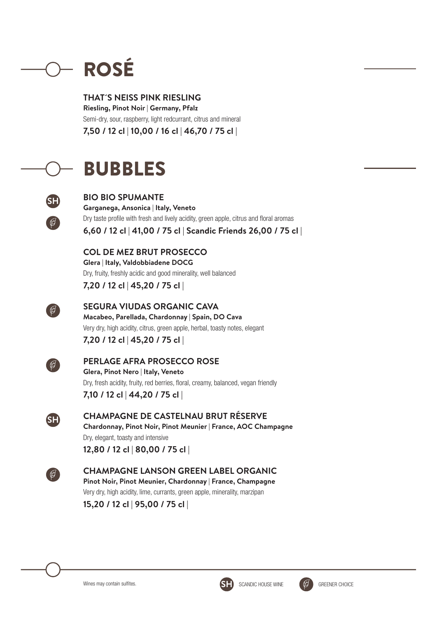# ROSÉ

**THAT´S NEISS PINK RIESLING Riesling, Pinot Noir | Germany, Pfalz** Semi-dry, sour, raspberry, light redcurrant, citrus and mineral **7,50 / 12 cl | 10,00 / 16 cl | 46,70 / 75 cl |** 

## BUBBLES



## **BIO BIO SPUMANTE Garganega, Ansonica | Italy, Veneto**

Dry taste profile with fresh and lively acidity, green apple, citrus and floral aromas **6,60 / 12 cl | 41,00 / 75 cl | Scandic Friends 26,00 / 75 cl |** 

#### **COL DE MEZ BRUT PROSECCO Glera | Italy, Valdobbiadene DOCG**

Dry, fruity, freshly acidic and good minerality, well balanced

**7,20 / 12 cl | 45,20 / 75 cl |** 



**SEGURA VIUDAS ORGANIC CAVA Macabeo, Parellada, Chardonnay | Spain, DO Cava** Very dry, high acidity, citrus, green apple, herbal, toasty notes, elegant

**7,20 / 12 cl | 45,20 / 75 cl |** 



## **PERLAGE AFRA PROSECCO ROSE**

**Glera, Pinot Nero | Italy, Veneto** Dry, fresh acidity, fruity, red berries, floral, creamy, balanced, vegan friendly **7,10 / 12 cl | 44,20 / 75 cl |** 



**CHAMPAGNE DE CASTELNAU BRUT RÉSERVE Chardonnay, Pinot Noir, Pinot Meunier | France, AOC Champagne** Dry, elegant, toasty and intensive **12,80 / 12 cl | 80,00 / 75 cl |** 



## **CHAMPAGNE LANSON GREEN LABEL ORGANIC Pinot Noir, Pinot Meunier, Chardonnay | France, Champagne**

Very dry, high acidity, lime, currants, green apple, minerality, marzipan **15,20 / 12 cl | 95,00 / 75 cl |**